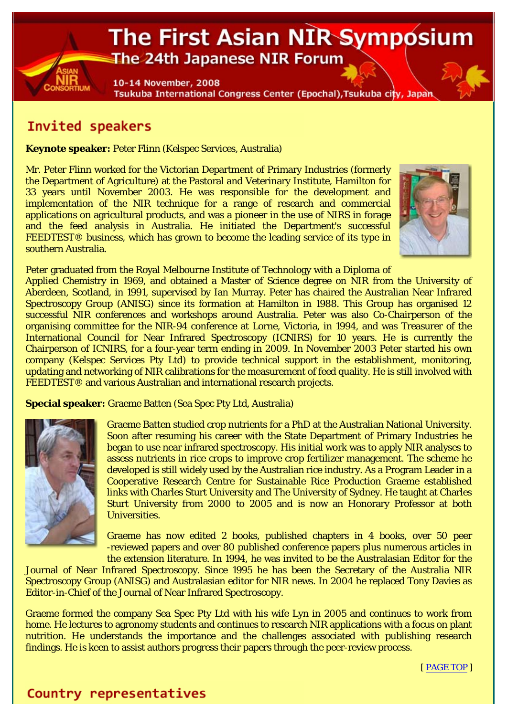# The First Asian NIR Symposium The 24th Japanese NIR Forum

10-14 November, 2008 Tsukuba International Congress Center (Epochal), Tsukuba city, Japan

## Invited speakers

**Keynote speaker:** Peter Flinn (Kelspec Services, Australia)

Mr. Peter Flinn worked for the Victorian Department of Primary Industries (formerly the Department of Agriculture) at the Pastoral and Veterinary Institute, Hamilton for 33 years until November 2003. He was responsible for the development and implementation of the NIR technique for a range of research and commercial applications on agricultural products, and was a pioneer in the use of NIRS in forage and the feed analysis in Australia. He initiated the Department's successful FEEDTEST<sup>®</sup> business, which has grown to become the leading service of its type in southern Australia.



Peter graduated from the Royal Melbourne Institute of Technology with a Diploma of

Applied Chemistry in 1969, and obtained a Master of Science degree on NIR from the University of Aberdeen, Scotland, in 1991, supervised by Ian Murray. Peter has chaired the Australian Near Infrared Spectroscopy Group (ANISG) since its formation at Hamilton in 1988. This Group has organised 12 successful NIR conferences and workshops around Australia. Peter was also Co-Chairperson of the organising committee for the NIR-94 conference at Lorne, Victoria, in 1994, and was Treasurer of the International Council for Near Infrared Spectroscopy (ICNIRS) for 10 years. He is currently the Chairperson of ICNIRS, for a four-year term ending in 2009. In November 2003 Peter started his own company (Kelspec Services Pty Ltd) to provide technical support in the establishment, monitoring, updating and networking of NIR calibrations for the measurement of feed quality. He is still involved with FEEDTEST® and various Australian and international research projects.

**Special speaker:** Graeme Batten (Sea Spec Pty Ltd, Australia)



Graeme Batten studied crop nutrients for a PhD at the Australian National University. Soon after resuming his career with the State Department of Primary Industries he began to use near infrared spectroscopy. His initial work was to apply NIR analyses to assess nutrients in rice crops to improve crop fertilizer management. The scheme he developed is still widely used by the Australian rice industry. As a Program Leader in a Cooperative Research Centre for Sustainable Rice Production Graeme established links with Charles Sturt University and The University of Sydney. He taught at Charles Sturt University from 2000 to 2005 and is now an Honorary Professor at both Universities.

Graeme has now edited 2 books, published chapters in 4 books, over 50 peer -reviewed papers and over 80 published conference papers plus numerous articles in the extension literature. In 1994, he was invited to be the Australasian Editor for the

Journal of Near Infrared Spectroscopy. Since 1995 he has been the Secretary of the Australia NIR Spectroscopy Group (ANISG) and Australasian editor for NIR news. In 2004 he replaced Tony Davies as Editor-in-Chief of the Journal of Near Infrared Spectroscopy.

Graeme formed the company Sea Spec Pty Ltd with his wife Lyn in 2005 and continues to work from home. He lectures to agronomy students and continues to research NIR applications with a focus on plant nutrition. He understands the importance and the challenges associated with publishing research findings. He is keen to assist authors progress their papers through the peer-review process.

[ PAGE TOP ]

## Country representatives